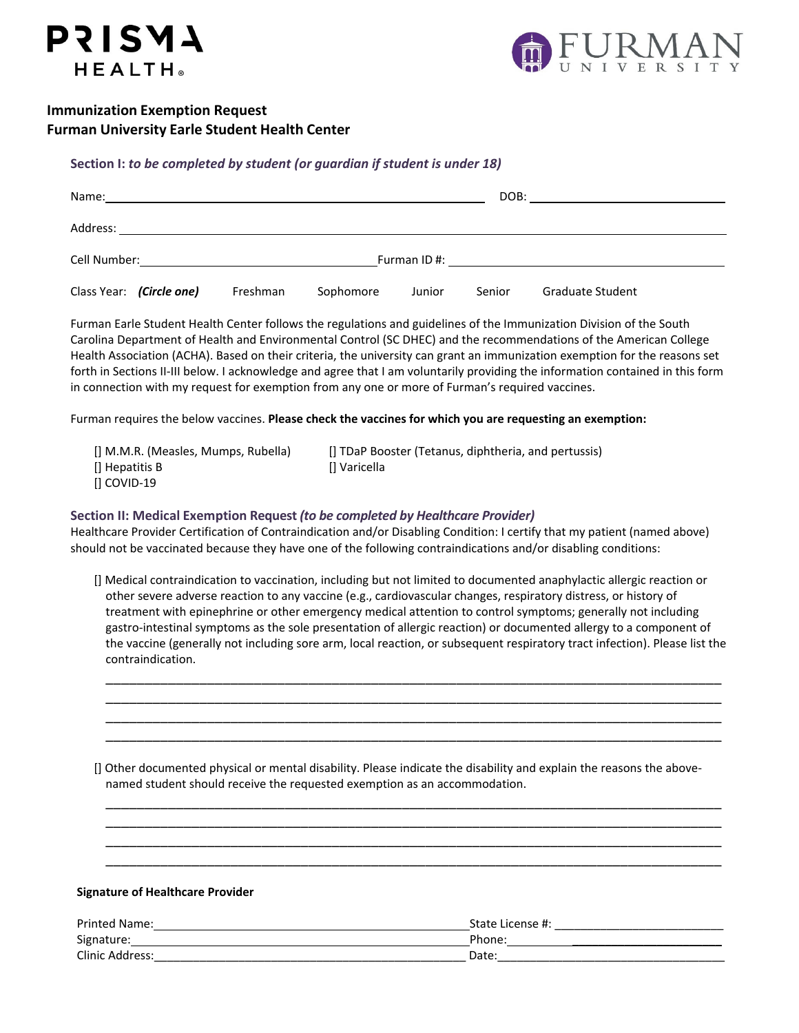# **Immunization Exemption Request Furman University Earle Student Health Center**

**PRISMA** 

HEALTH®



# **Section I:** *to be completed by student (or guardian if student is under 18)*

| Name:                                               |          |           |        | DOB:   |                                                                                                                                                                                                                                |  |
|-----------------------------------------------------|----------|-----------|--------|--------|--------------------------------------------------------------------------------------------------------------------------------------------------------------------------------------------------------------------------------|--|
| Address:                                            |          |           |        |        |                                                                                                                                                                                                                                |  |
| Cell Number: National According to the Cell Number: |          |           |        |        | Furman ID #: the state of the state of the state of the state of the state of the state of the state of the state of the state of the state of the state of the state of the state of the state of the state of the state of t |  |
| Class Year: (Circle one)                            | Freshman | Sophomore | Junior | Senior | <b>Graduate Student</b>                                                                                                                                                                                                        |  |

Furman Earle Student Health Center follows the regulations and guidelines of the Immunization Division of the South Carolina Department of Health and Environmental Control (SC DHEC) and the recommendations of the American College Health Association (ACHA). Based on their criteria, the university can grant an immunization exemption for the reasons set forth in Sections II-III below. I acknowledge and agree that I am voluntarily providing the information contained in this form in connection with my request for exemption from any one or more of Furman's required vaccines.

Furman requires the below vaccines. **Please check the vaccines for which you are requesting an exemption:**

| [] M.M.R. (Measles, Mumps, Rubella) | [] TDaP Booster (Tetanus, diphtheria, and pertussis) |
|-------------------------------------|------------------------------------------------------|
| $\left[\right]$ Hepatitis B         | Il Varicella                                         |
| $\overline{1}$ COVID-19             |                                                      |

## **Section II: Medical Exemption Request** *(to be completed by Healthcare Provider)*

Healthcare Provider Certification of Contraindication and/or Disabling Condition: I certify that my patient (named above) should not be vaccinated because they have one of the following contraindications and/or disabling conditions:

[] Medical contraindication to vaccination, including but not limited to documented anaphylactic allergic reaction or other severe adverse reaction to any vaccine (e.g., cardiovascular changes, respiratory distress, or history of treatment with epinephrine or other emergency medical attention to control symptoms; generally not including gastro‐intestinal symptoms as the sole presentation of allergic reaction) or documented allergy to a component of the vaccine (generally not including sore arm, local reaction, or subsequent respiratory tract infection). Please list the contraindication.

\_\_\_\_\_\_\_\_\_\_\_\_\_\_\_\_\_\_\_\_\_\_\_\_\_\_\_\_\_\_\_\_\_\_\_\_\_\_\_\_\_\_\_\_\_\_\_\_\_\_\_\_\_\_\_\_\_\_\_\_\_\_\_\_\_\_\_\_\_\_\_\_\_\_\_\_\_\_\_ \_\_\_\_\_\_\_\_\_\_\_\_\_\_\_\_\_\_\_\_\_\_\_\_\_\_\_\_\_\_\_\_\_\_\_\_\_\_\_\_\_\_\_\_\_\_\_\_\_\_\_\_\_\_\_\_\_\_\_\_\_\_\_\_\_\_\_\_\_\_\_\_\_\_\_\_\_\_\_ \_\_\_\_\_\_\_\_\_\_\_\_\_\_\_\_\_\_\_\_\_\_\_\_\_\_\_\_\_\_\_\_\_\_\_\_\_\_\_\_\_\_\_\_\_\_\_\_\_\_\_\_\_\_\_\_\_\_\_\_\_\_\_\_\_\_\_\_\_\_\_\_\_\_\_\_\_\_\_ \_\_\_\_\_\_\_\_\_\_\_\_\_\_\_\_\_\_\_\_\_\_\_\_\_\_\_\_\_\_\_\_\_\_\_\_\_\_\_\_\_\_\_\_\_\_\_\_\_\_\_\_\_\_\_\_\_\_\_\_\_\_\_\_\_\_\_\_\_\_\_\_\_\_\_\_\_\_\_

[] Other documented physical or mental disability. Please indicate the disability and explain the reasons the abovenamed student should receive the requested exemption as an accommodation.

\_\_\_\_\_\_\_\_\_\_\_\_\_\_\_\_\_\_\_\_\_\_\_\_\_\_\_\_\_\_\_\_\_\_\_\_\_\_\_\_\_\_\_\_\_\_\_\_\_\_\_\_\_\_\_\_\_\_\_\_\_\_\_\_\_\_\_\_\_\_\_\_\_\_\_\_\_\_\_ \_\_\_\_\_\_\_\_\_\_\_\_\_\_\_\_\_\_\_\_\_\_\_\_\_\_\_\_\_\_\_\_\_\_\_\_\_\_\_\_\_\_\_\_\_\_\_\_\_\_\_\_\_\_\_\_\_\_\_\_\_\_\_\_\_\_\_\_\_\_\_\_\_\_\_\_\_\_\_ \_\_\_\_\_\_\_\_\_\_\_\_\_\_\_\_\_\_\_\_\_\_\_\_\_\_\_\_\_\_\_\_\_\_\_\_\_\_\_\_\_\_\_\_\_\_\_\_\_\_\_\_\_\_\_\_\_\_\_\_\_\_\_\_\_\_\_\_\_\_\_\_\_\_\_\_\_\_\_ \_\_\_\_\_\_\_\_\_\_\_\_\_\_\_\_\_\_\_\_\_\_\_\_\_\_\_\_\_\_\_\_\_\_\_\_\_\_\_\_\_\_\_\_\_\_\_\_\_\_\_\_\_\_\_\_\_\_\_\_\_\_\_\_\_\_\_\_\_\_\_\_\_\_\_\_\_\_\_

#### **Signature of Healthcare Provider**

| <b>Printed Name:</b> | State License #:   |
|----------------------|--------------------|
| Signature:           | Phone <sup>®</sup> |
| Clinic Address:      | Date:              |